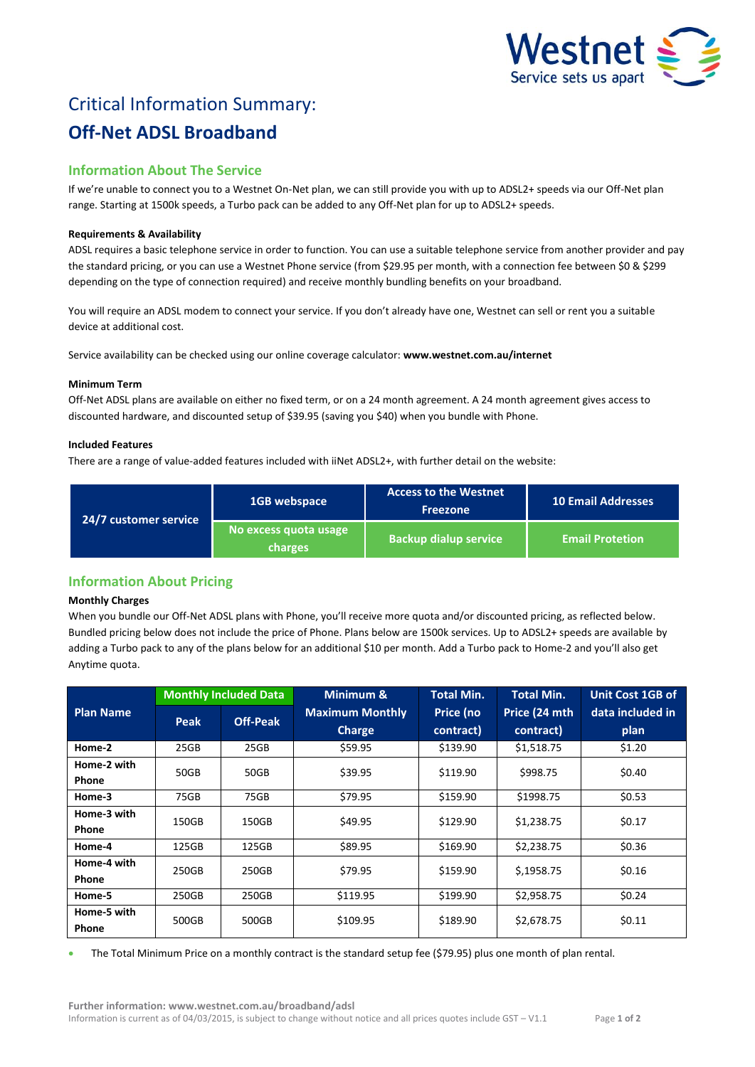

# Critical Information Summary: **Off-Net ADSL Broadband**

# **Information About The Service**

If we're unable to connect you to a Westnet On-Net plan, we can still provide you with up to ADSL2+ speeds via our Off-Net plan range. Starting at 1500k speeds, a Turbo pack can be added to any Off-Net plan for up to ADSL2+ speeds.

# **Requirements & Availability**

ADSL requires a basic telephone service in order to function. You can use a suitable telephone service from another provider and pay the standard pricing, or you can use a Westnet Phone service (from \$29.95 per month, with a connection fee between \$0 & \$299 depending on the type of connection required) and receive monthly bundling benefits on your broadband.

You will require an ADSL modem to connect your service. If you don't already have one, Westnet can sell or rent you a suitable device at additional cost.

Service availability can be checked using our online coverage calculator: **www.westnet.com.au/internet**

## **Minimum Term**

Off-Net ADSL plans are available on either no fixed term, or on a 24 month agreement. A 24 month agreement gives access to discounted hardware, and discounted setup of \$39.95 (saving you \$40) when you bundle with Phone.

## **Included Features**

There are a range of value-added features included with iiNet ADSL2+, with further detail on the website:

| 24/7 customer service | 1GB webspace                     | <b>Access to the Westnet</b><br><b>Freezone</b> | <b>10 Email Addresses</b> |
|-----------------------|----------------------------------|-------------------------------------------------|---------------------------|
|                       | No excess quota usage<br>charges | <b>Backup dialup service</b>                    | <b>Email Protetion</b>    |

# **Information About Pricing**

# **Monthly Charges**

When you bundle our Off-Net ADSL plans with Phone, you'll receive more quota and/or discounted pricing, as reflected below. Bundled pricing below does not include the price of Phone. Plans below are 1500k services. Up to ADSL2+ speeds are available by adding a Turbo pack to any of the plans below for an additional \$10 per month. Add a Turbo pack to Home-2 and you'll also get Anytime quota.

|                  | <b>Monthly Included Data</b> |                 | Minimum &              | <b>Total Min.</b> | <b>Total Min.</b> | <b>Unit Cost 1GB of</b> |
|------------------|------------------------------|-----------------|------------------------|-------------------|-------------------|-------------------------|
| <b>Plan Name</b> | Peak                         | <b>Off-Peak</b> | <b>Maximum Monthly</b> | Price (no         | Price (24 mth     | data included in        |
|                  |                              |                 | <b>Charge</b>          | contract)         | contract)         | plan                    |
| Home-2           | 25GB                         | 25GB            | \$59.95                | \$139.90          | \$1,518.75        | \$1.20                  |
| Home-2 with      | 50GB                         | 50GB            | \$39.95                | \$119.90          | \$998.75          | \$0.40                  |
| <b>Phone</b>     |                              |                 |                        |                   |                   |                         |
| Home-3           | 75GB                         | 75GB            | \$79.95                | \$159.90          | \$1998.75         | \$0.53                  |
| Home-3 with      | 150GB                        | 150GB           | \$49.95                | \$129.90          | \$1,238.75        | \$0.17                  |
| <b>Phone</b>     |                              |                 |                        |                   |                   |                         |
| Home-4           | 125GB                        | 125GB           | \$89.95                | \$169.90          | \$2,238.75        | \$0.36                  |
| Home-4 with      | 250GB                        | 250GB           | \$79.95                | \$159.90          | \$,1958.75        | \$0.16                  |
| <b>Phone</b>     |                              |                 |                        |                   |                   |                         |
| Home-5           | 250GB                        | 250GB           | \$119.95               | \$199.90          | \$2,958.75        | \$0.24                  |
| Home-5 with      | 500GB                        | 500GB           | \$109.95               | \$189.90          | \$2,678.75        | \$0.11                  |
| <b>Phone</b>     |                              |                 |                        |                   |                   |                         |

The Total Minimum Price on a monthly contract is the standard setup fee (\$79.95) plus one month of plan rental.